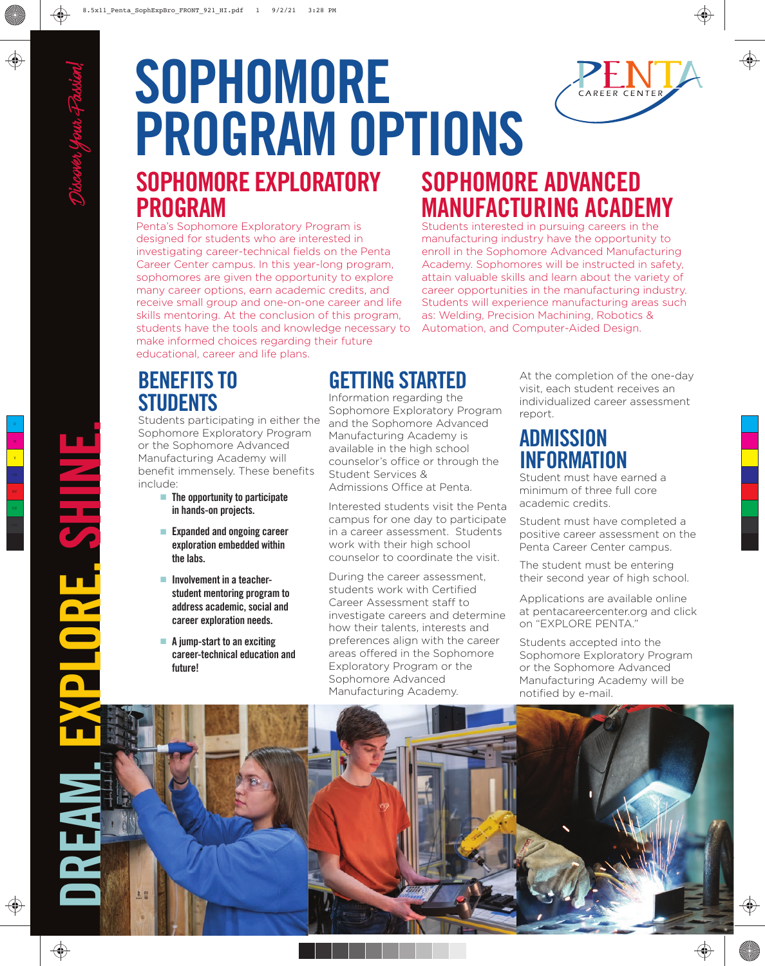# **SOPHOMORE PROGRAM OPTIONS SOPHOMORE EXPLORATORY PROGRAM**

Penta's Sophomore Exploratory Program is designed for students who are interested in investigating career-technical fields on the Penta Career Center campus. In this year-long program, sophomores are given the opportunity to explore many career options, earn academic credits, and receive small group and one-on-one career and life skills mentoring. At the conclusion of this program, students have the tools and knowledge necessary to make informed choices regarding their future educational, career and life plans.

## **SOPHOMORE ADVANCED MANUFACTURING ACADEMY**

Students interested in pursuing careers in the manufacturing industry have the opportunity to enroll in the Sophomore Advanced Manufacturing Academy. Sophomores will be instructed in safety, attain valuable skills and learn about the variety of career opportunities in the manufacturing industry. Students will experience manufacturing areas such as: Welding, Precision Machining, Robotics & Automation, and Computer-Aided Design.

## **BENEFITS TO STUDENTS**

Students participating in either the Sophomore Exploratory Program or the Sophomore Advanced Manufacturing Academy will benefit immensely. These benefits include:

- **The opportunity to participate in hands-on projects.**
- **Expanded and ongoing career exploration embedded within the labs.**
- **Involvement in a teacher student mentoring program to address academic, social and career exploration needs.**
- **A jump-start to an exciting career-technical education and future!**

## **GETTING STARTED**

Information regarding the Sophomore Exploratory Program and the Sophomore Advanced Manufacturing Academy is available in the high school counselor's office or through the Student Services & Admissions Office at Penta

Interested students visit the Penta campus for one day to participate in a career assessment. Students work with their high school counselor to coordinate the visit.

During the career assessment, students work with Certified Career Assessment staff to investigate careers and determine how their talents, interests and preferences align with the career areas offered in the Sophomore Exploratory Program or the Sophomore Advanced Manufacturing Academy.

At the completion of the one-day visit, each student receives an individualized career assessment report.

## **ADMISSION INFORMATION**

Student must have earned a minimum of three full core academic credits.

Student must have completed a positive career assessment on the Penta Career Center campus.

The student must be entering their second year of high school.

Applications are available online at pentacareercenter.org and click on "EXPLORE PENTA."

Students accepted into the Sophomore Exploratory Program or the Sophomore Advanced Manufacturing Academy will be notified by e-mail.